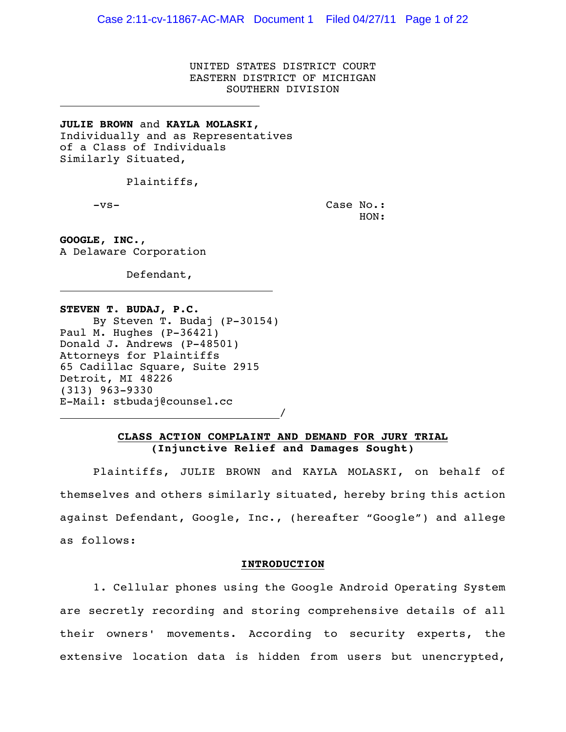UNITED STATES DISTRICT COURT EASTERN DISTRICT OF MICHIGAN SOUTHERN DIVISION

**JULIE BROWN** and **KAYLA MOLASKI,** Individually and as Representatives of a Class of Individuals Similarly Situated,

Plaintiffs,

 $\overline{a}$ 

 $\overline{a}$ 

-vs- Case No.: HON:

**GOOGLE, INC.**, A Delaware Corporation

Defendant,

**STEVEN T. BUDAJ, P.C.** By Steven T. Budaj (P-30154) Paul M. Hughes (P-36421) Donald J. Andrews (P-48501) Attorneys for Plaintiffs 65 Cadillac Square, Suite 2915 Detroit, MI 48226 (313) 963-9330 E-Mail: stbudaj@counsel.cc

/

# **CLASS ACTION COMPLAINT AND DEMAND FOR JURY TRIAL (Injunctive Relief and Damages Sought)**

Plaintiffs, JULIE BROWN and KAYLA MOLASKI, on behalf of themselves and others similarly situated, hereby bring this action against Defendant, Google, Inc., (hereafter "Google") and allege as follows:

### **INTRODUCTION**

1. Cellular phones using the Google Android Operating System are secretly recording and storing comprehensive details of all their owners' movements. According to security experts, the extensive location data is hidden from users but unencrypted,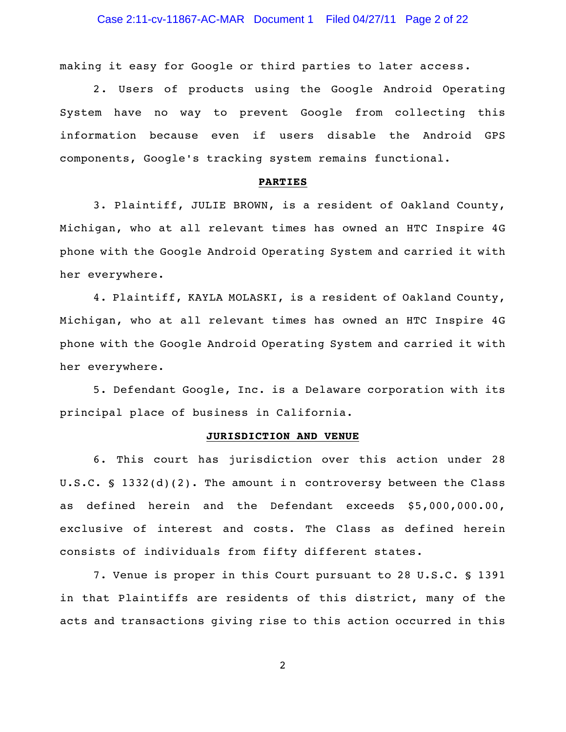making it easy for Google or third parties to later access.

2. Users of products using the Google Android Operating System have no way to prevent Google from collecting this information because even if users disable the Android GPS components, Google's tracking system remains functional.

### **PARTIES**

3. Plaintiff, JULIE BROWN, is a resident of Oakland County, Michigan, who at all relevant times has owned an HTC Inspire 4G phone with the Google Android Operating System and carried it with her everywhere.

4. Plaintiff, KAYLA MOLASKI, is a resident of Oakland County, Michigan, who at all relevant times has owned an HTC Inspire 4G phone with the Google Android Operating System and carried it with her everywhere.

5. Defendant Google, Inc. is a Delaware corporation with its principal place of business in California.

### **JURISDICTION AND VENUE**

6. This court has jurisdiction over this action under 28 U.S.C.  $\ S$  1332(d)(2). The amount in controversy between the Class as defined herein and the Defendant exceeds \$5,000,000.00, exclusive of interest and costs. The Class as defined herein consists of individuals from fifty different states.

7. Venue is proper in this Court pursuant to 28 U.S.C. § 1391 in that Plaintiffs are residents of this district, many of the acts and transactions giving rise to this action occurred in this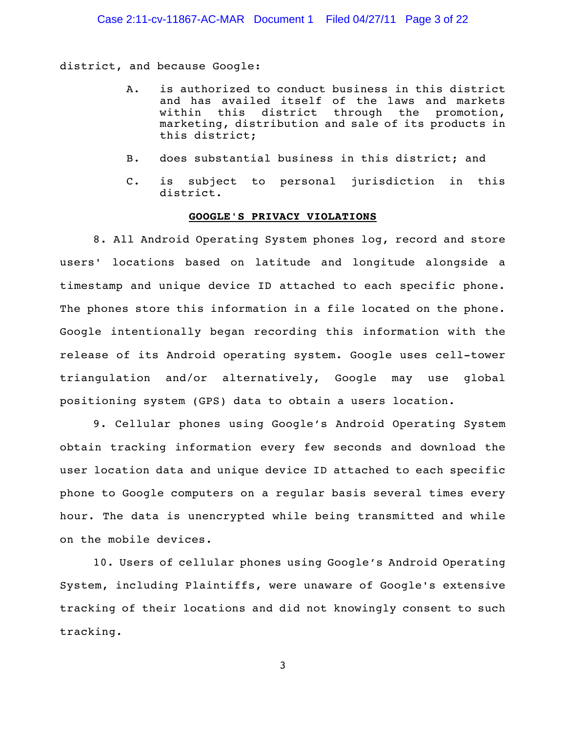## Case 2:11-cv-11867-AC-MAR Document 1 Filed 04/27/11 Page 3 of 22

district, and because Google:

- A. is authorized to conduct business in this district and has availed itself of the laws and markets within this district through the promotion, marketing, distribution and sale of its products in this district;
- B. does substantial business in this district; and
- C. is subject to personal jurisdiction in this district.

### **GOOGLE'S PRIVACY VIOLATIONS**

8. All Android Operating System phones log, record and store users' locations based on latitude and longitude alongside a timestamp and unique device ID attached to each specific phone. The phones store this information in a file located on the phone. Google intentionally began recording this information with the release of its Android operating system. Google uses cell-tower triangulation and/or alternatively, Google may use global positioning system (GPS) data to obtain a users location.

9. Cellular phones using Google's Android Operating System obtain tracking information every few seconds and download the user location data and unique device ID attached to each specific phone to Google computers on a regular basis several times every hour. The data is unencrypted while being transmitted and while on the mobile devices.

10. Users of cellular phones using Google's Android Operating System, including Plaintiffs, were unaware of Google's extensive tracking of their locations and did not knowingly consent to such tracking.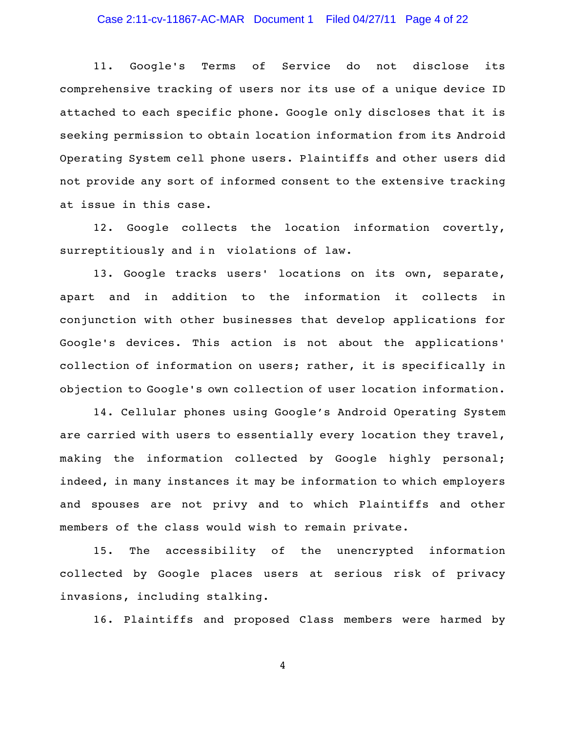# Case 2:11-cv-11867-AC-MAR Document 1 Filed 04/27/11 Page 4 of 22

11. Google's Terms of Service do not disclose its comprehensive tracking of users nor its use of a unique device ID attached to each specific phone. Google only discloses that it is seeking permission to obtain location information from its Android Operating System cell phone users. Plaintiffs and other users did not provide any sort of informed consent to the extensive tracking at issue in this case.

12. Google collects the location information covertly, surreptitiously and in violations of law.

13. Google tracks users' locations on its own, separate, apart and in addition to the information it collects in conjunction with other businesses that develop applications for Google's devices. This action is not about the applications' collection of information on users; rather, it is specifically in objection to Google's own collection of user location information.

14. Cellular phones using Google's Android Operating System are carried with users to essentially every location they travel, making the information collected by Google highly personal; indeed, in many instances it may be information to which employers and spouses are not privy and to which Plaintiffs and other members of the class would wish to remain private.

15. The accessibility of the unencrypted information collected by Google places users at serious risk of privacy invasions, including stalking.

16. Plaintiffs and proposed Class members were harmed by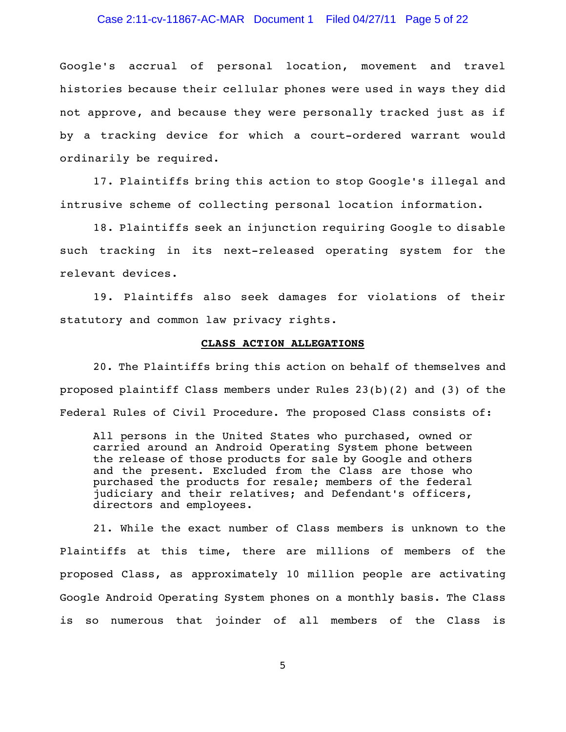## Case 2:11-cv-11867-AC-MAR Document 1 Filed 04/27/11 Page 5 of 22

Google's accrual of personal location, movement and travel histories because their cellular phones were used in ways they did not approve, and because they were personally tracked just as if by a tracking device for which a court-ordered warrant would ordinarily be required.

17. Plaintiffs bring this action to stop Google's illegal and intrusive scheme of collecting personal location information.

18. Plaintiffs seek an injunction requiring Google to disable such tracking in its next-released operating system for the relevant devices.

19. Plaintiffs also seek damages for violations of their statutory and common law privacy rights.

### **CLASS ACTION ALLEGATIONS**

20. The Plaintiffs bring this action on behalf of themselves and proposed plaintiff Class members under Rules 23(b)(2) and (3) of the Federal Rules of Civil Procedure. The proposed Class consists of:

All persons in the United States who purchased, owned or carried around an Android Operating System phone between the release of those products for sale by Google and others and the present. Excluded from the Class are those who purchased the products for resale; members of the federal judiciary and their relatives; and Defendant's officers, directors and employees.

21. While the exact number of Class members is unknown to the Plaintiffs at this time, there are millions of members of the proposed Class, as approximately 10 million people are activating Google Android Operating System phones on a monthly basis. The Class is so numerous that joinder of all members of the Class is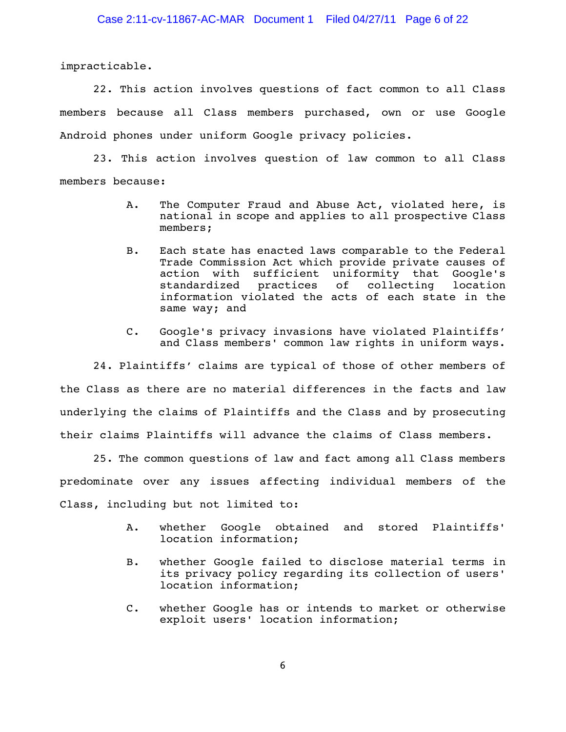impracticable.

22. This action involves questions of fact common to all Class members because all Class members purchased, own or use Google Android phones under uniform Google privacy policies.

23. This action involves question of law common to all Class members because:

- A. The Computer Fraud and Abuse Act, violated here, is national in scope and applies to all prospective Class members;
- B. Each state has enacted laws comparable to the Federal Trade Commission Act which provide private causes of action with sufficient uniformity that Google's standardized practices of collecting location information violated the acts of each state in the same way; and
- C. Google's privacy invasions have violated Plaintiffs' and Class members' common law rights in uniform ways.

24. Plaintiffs' claims are typical of those of other members of the Class as there are no material differences in the facts and law underlying the claims of Plaintiffs and the Class and by prosecuting their claims Plaintiffs will advance the claims of Class members.

25. The common questions of law and fact among all Class members predominate over any issues affecting individual members of the Class, including but not limited to:

- A. whether Google obtained and stored Plaintiffs' location information;
- B. whether Google failed to disclose material terms in its privacy policy regarding its collection of users' location information;
- C. whether Google has or intends to market or otherwise exploit users' location information;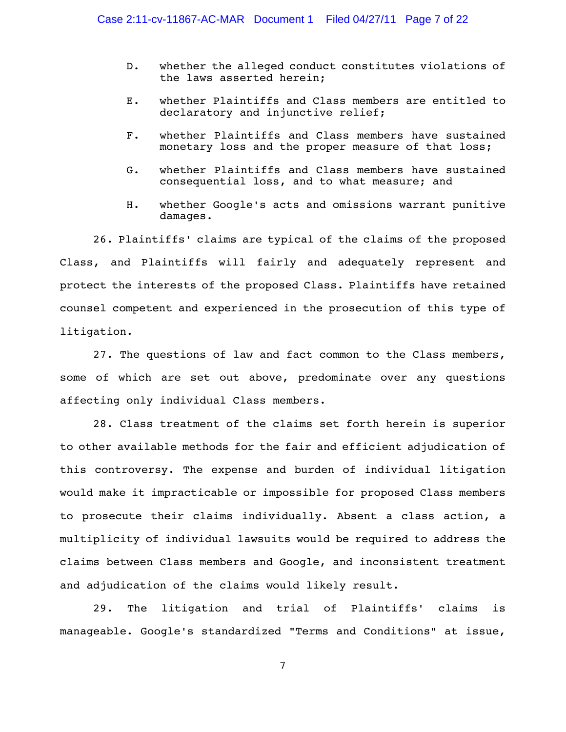- D. whether the alleged conduct constitutes violations of the laws asserted herein;
- E. whether Plaintiffs and Class members are entitled to declaratory and injunctive relief;
- F. whether Plaintiffs and Class members have sustained monetary loss and the proper measure of that loss;
- G. whether Plaintiffs and Class members have sustained consequential loss, and to what measure; and
- H. whether Google's acts and omissions warrant punitive damages.

26. Plaintiffs' claims are typical of the claims of the proposed Class, and Plaintiffs will fairly and adequately represent and protect the interests of the proposed Class. Plaintiffs have retained counsel competent and experienced in the prosecution of this type of litigation.

27. The questions of law and fact common to the Class members, some of which are set out above, predominate over any questions affecting only individual Class members.

28. Class treatment of the claims set forth herein is superior to other available methods for the fair and efficient adjudication of this controversy. The expense and burden of individual litigation would make it impracticable or impossible for proposed Class members to prosecute their claims individually. Absent a class action, a multiplicity of individual lawsuits would be required to address the claims between Class members and Google, and inconsistent treatment and adjudication of the claims would likely result.

29. The litigation and trial of Plaintiffs' claims is manageable. Google's standardized "Terms and Conditions" at issue,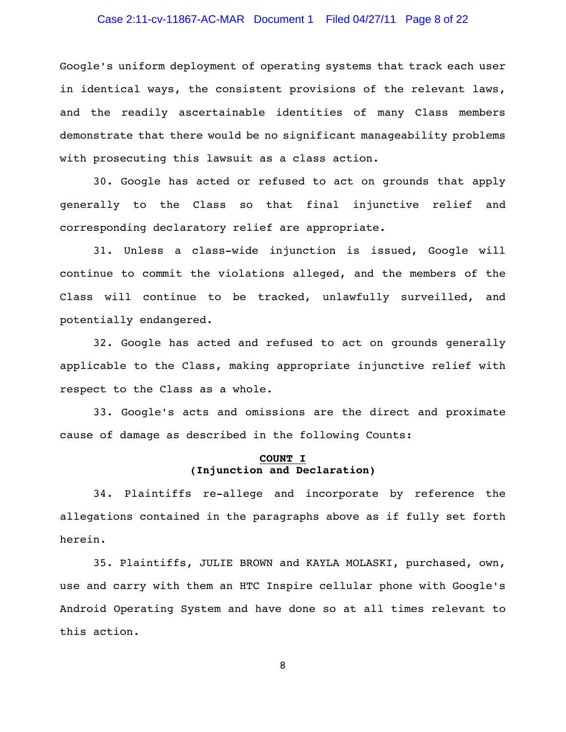## Case 2:11-cv-11867-AC-MAR Document 1 Filed 04/27/11 Page 8 of 22

Google's uniform deployment of operating systems that track each user in identical ways, the consistent provisions of the relevant laws, and the readily ascertainable identities of many Class members demonstrate that there would be no significant manageability problems with prosecuting this lawsuit as a class action.

30. Google has acted or refused to act on grounds that apply generally to the Class so that final injunctive relief and corresponding declaratory relief are appropriate.

31. Unless a class-wide injunction is issued, Google will continue to commit the violations alleged, and the members of the Class will continue to be tracked, unlawfully surveilled, and potentially endangered.

32. Google has acted and refused to act on grounds generally applicable to the Class, making appropriate injunctive relief with respect to the Class as a whole.

33. Google's acts and omissions are the direct and proximate cause of damage as described in the following Counts:

# **COUNT I (Injunction and Declaration)**

34. Plaintiffs re-allege and incorporate by reference the allegations contained in the paragraphs above as if fully set forth herein.

35. Plaintiffs, JULIE BROWN and KAYLA MOLASKI, purchased, own, use and carry with them an HTC Inspire cellular phone with Google's Android Operating System and have done so at all times relevant to this action.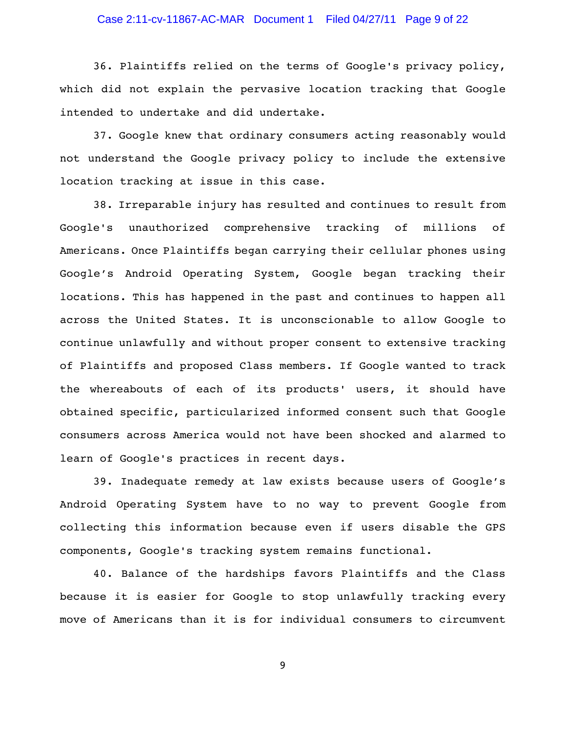# Case 2:11-cv-11867-AC-MAR Document 1 Filed 04/27/11 Page 9 of 22

36. Plaintiffs relied on the terms of Google's privacy policy, which did not explain the pervasive location tracking that Google intended to undertake and did undertake.

37. Google knew that ordinary consumers acting reasonably would not understand the Google privacy policy to include the extensive location tracking at issue in this case.

38. Irreparable injury has resulted and continues to result from Google's unauthorized comprehensive tracking of millions of Americans. Once Plaintiffs began carrying their cellular phones using Google's Android Operating System, Google began tracking their locations. This has happened in the past and continues to happen all across the United States. It is unconscionable to allow Google to continue unlawfully and without proper consent to extensive tracking of Plaintiffs and proposed Class members. If Google wanted to track the whereabouts of each of its products' users, it should have obtained specific, particularized informed consent such that Google consumers across America would not have been shocked and alarmed to learn of Google's practices in recent days.

39. Inadequate remedy at law exists because users of Google's Android Operating System have to no way to prevent Google from collecting this information because even if users disable the GPS components, Google's tracking system remains functional.

40. Balance of the hardships favors Plaintiffs and the Class because it is easier for Google to stop unlawfully tracking every move of Americans than it is for individual consumers to circumvent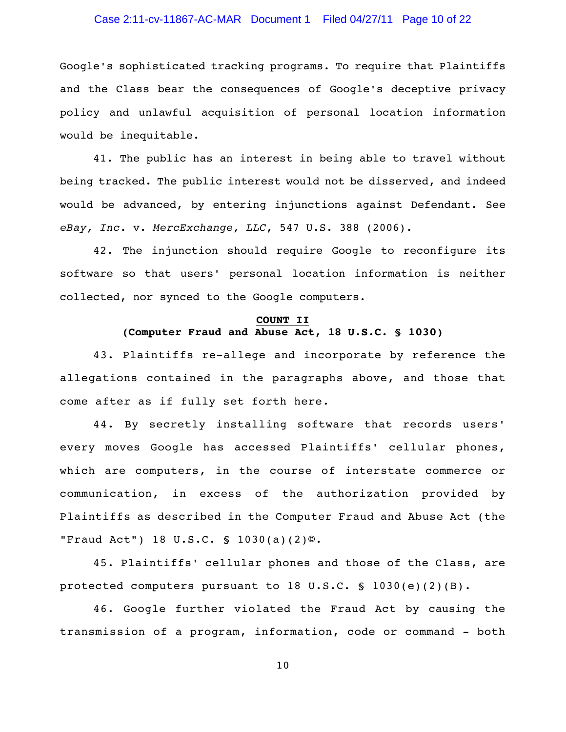# Case 2:11-cv-11867-AC-MAR Document 1 Filed 04/27/11 Page 10 of 22

Google's sophisticated tracking programs. To require that Plaintiffs and the Class bear the consequences of Google's deceptive privacy policy and unlawful acquisition of personal location information would be inequitable.

41. The public has an interest in being able to travel without being tracked. The public interest would not be disserved, and indeed would be advanced, by entering injunctions against Defendant. See *eBay, Inc.* v. *MercExchange, LLC*, 547 U.S. 388 (2006).

42. The injunction should require Google to reconfigure its software so that users' personal location information is neither collected, nor synced to the Google computers.

# **COUNT II (Computer Fraud and Abuse Act, 18 U.S.C. § 1030)**

43. Plaintiffs re-allege and incorporate by reference the allegations contained in the paragraphs above, and those that come after as if fully set forth here.

44. By secretly installing software that records users' every moves Google has accessed Plaintiffs' cellular phones, which are computers, in the course of interstate commerce or communication, in excess of the authorization provided by Plaintiffs as described in the Computer Fraud and Abuse Act (the "Fraud Act") 18 U.S.C. § 1030(a)(2)©.

45. Plaintiffs' cellular phones and those of the Class, are protected computers pursuant to 18 U.S.C. § 1030(e)(2)(B).

46. Google further violated the Fraud Act by causing the transmission of a program, information, code or command - both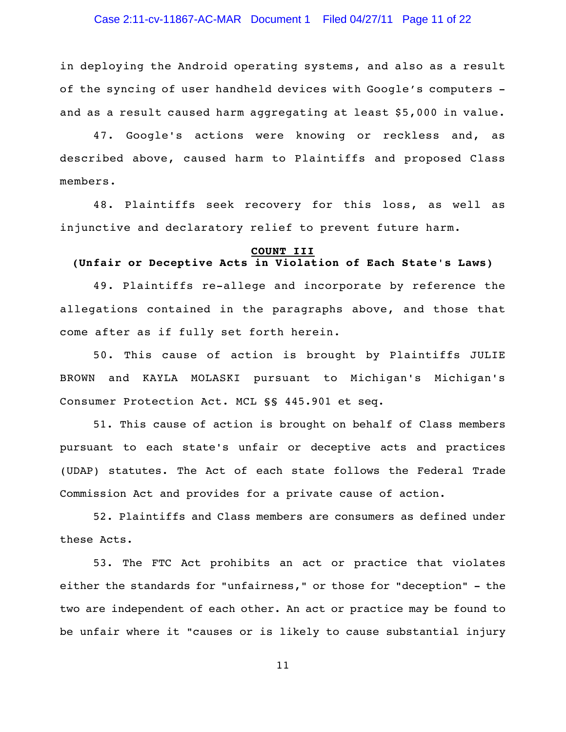## Case 2:11-cv-11867-AC-MAR Document 1 Filed 04/27/11 Page 11 of 22

in deploying the Android operating systems, and also as a result of the syncing of user handheld devices with Google's computers and as a result caused harm aggregating at least \$5,000 in value.

47. Google's actions were knowing or reckless and, as described above, caused harm to Plaintiffs and proposed Class members.

48. Plaintiffs seek recovery for this loss, as well as injunctive and declaratory relief to prevent future harm.

#### **COUNT III**

# **(Unfair or Deceptive Acts in Violation of Each State's Laws)**

49. Plaintiffs re-allege and incorporate by reference the allegations contained in the paragraphs above, and those that come after as if fully set forth herein.

50. This cause of action is brought by Plaintiffs JULIE BROWN and KAYLA MOLASKI pursuant to Michigan's Michigan's Consumer Protection Act. MCL §§ 445.901 et seq.

51. This cause of action is brought on behalf of Class members pursuant to each state's unfair or deceptive acts and practices (UDAP) statutes. The Act of each state follows the Federal Trade Commission Act and provides for a private cause of action.

52. Plaintiffs and Class members are consumers as defined under these Acts.

53. The FTC Act prohibits an act or practice that violates either the standards for "unfairness," or those for "deception" - the two are independent of each other. An act or practice may be found to be unfair where it "causes or is likely to cause substantial injury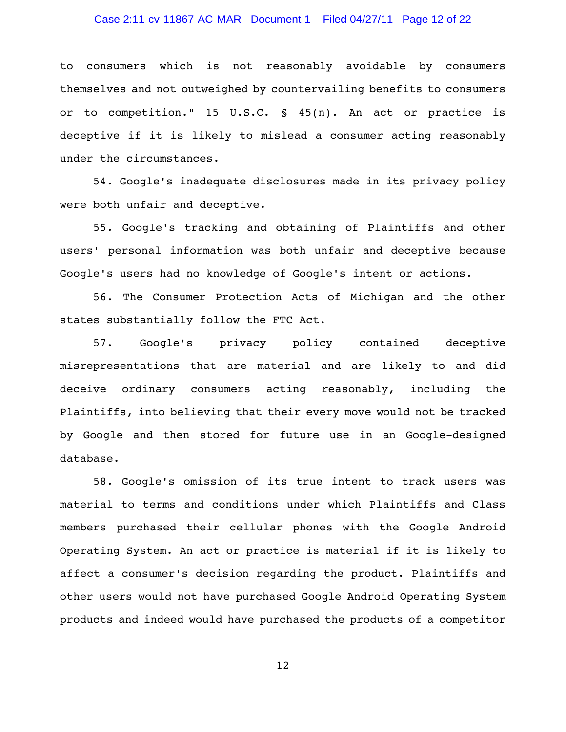## Case 2:11-cv-11867-AC-MAR Document 1 Filed 04/27/11 Page 12 of 22

to consumers which is not reasonably avoidable by consumers themselves and not outweighed by countervailing benefits to consumers or to competition." 15 U.S.C. § 45(n). An act or practice is deceptive if it is likely to mislead a consumer acting reasonably under the circumstances.

54. Google's inadequate disclosures made in its privacy policy were both unfair and deceptive.

55. Google's tracking and obtaining of Plaintiffs and other users' personal information was both unfair and deceptive because Google's users had no knowledge of Google's intent or actions.

56. The Consumer Protection Acts of Michigan and the other states substantially follow the FTC Act.

57. Google's privacy policy contained deceptive misrepresentations that are material and are likely to and did deceive ordinary consumers acting reasonably, including the Plaintiffs, into believing that their every move would not be tracked by Google and then stored for future use in an Google-designed database.

58. Google's omission of its true intent to track users was material to terms and conditions under which Plaintiffs and Class members purchased their cellular phones with the Google Android Operating System. An act or practice is material if it is likely to affect a consumer's decision regarding the product. Plaintiffs and other users would not have purchased Google Android Operating System products and indeed would have purchased the products of a competitor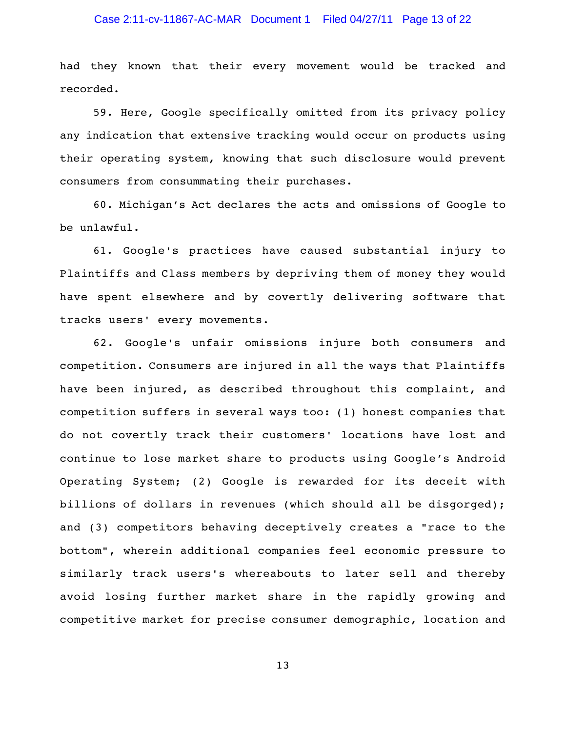# Case 2:11-cv-11867-AC-MAR Document 1 Filed 04/27/11 Page 13 of 22

had they known that their every movement would be tracked and recorded.

59. Here, Google specifically omitted from its privacy policy any indication that extensive tracking would occur on products using their operating system, knowing that such disclosure would prevent consumers from consummating their purchases.

60. Michigan's Act declares the acts and omissions of Google to be unlawful.

61. Google's practices have caused substantial injury to Plaintiffs and Class members by depriving them of money they would have spent elsewhere and by covertly delivering software that tracks users' every movements.

62. Google's unfair omissions injure both consumers and competition. Consumers are injured in all the ways that Plaintiffs have been injured, as described throughout this complaint, and competition suffers in several ways too: (1) honest companies that do not covertly track their customers' locations have lost and continue to lose market share to products using Google's Android Operating System; (2) Google is rewarded for its deceit with billions of dollars in revenues (which should all be disgorged); and (3) competitors behaving deceptively creates a "race to the bottom", wherein additional companies feel economic pressure to similarly track users's whereabouts to later sell and thereby avoid losing further market share in the rapidly growing and competitive market for precise consumer demographic, location and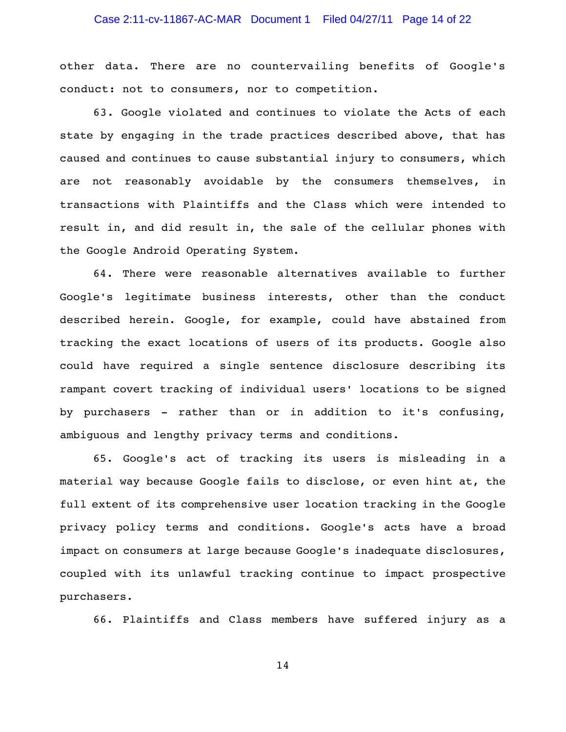# Case 2:11-cv-11867-AC-MAR Document 1 Filed 04/27/11 Page 14 of 22

other data. There are no countervailing benefits of Google's conduct: not to consumers, nor to competition.

63. Google violated and continues to violate the Acts of each state by engaging in the trade practices described above, that has caused and continues to cause substantial injury to consumers, which are not reasonably avoidable by the consumers themselves, in transactions with Plaintiffs and the Class which were intended to result in, and did result in, the sale of the cellular phones with the Google Android Operating System.

64. There were reasonable alternatives available to further Google's legitimate business interests, other than the conduct described herein. Google, for example, could have abstained from tracking the exact locations of users of its products. Google also could have required a single sentence disclosure describing its rampant covert tracking of individual users' locations to be signed by purchasers - rather than or in addition to it's confusing, ambiguous and lengthy privacy terms and conditions.

65. Google's act of tracking its users is misleading in a material way because Google fails to disclose, or even hint at, the full extent of its comprehensive user location tracking in the Google privacy policy terms and conditions. Google's acts have a broad impact on consumers at large because Google's inadequate disclosures, coupled with its unlawful tracking continue to impact prospective purchasers.

66. Plaintiffs and Class members have suffered injury as a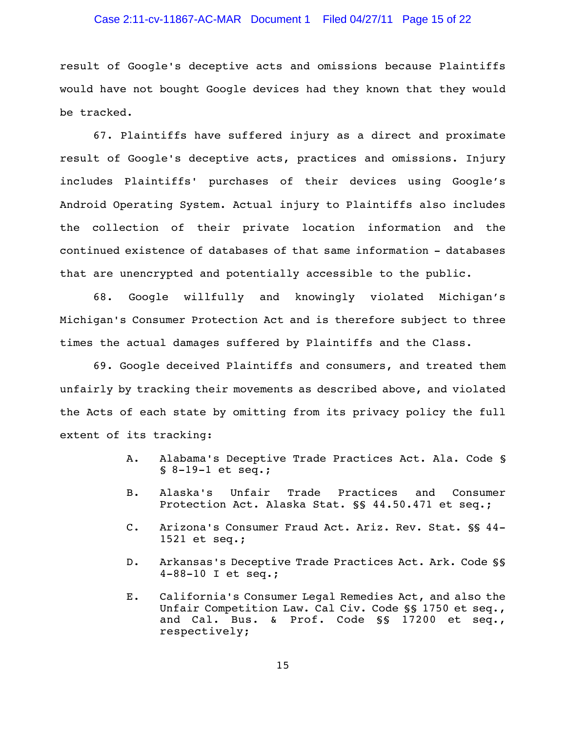## Case 2:11-cv-11867-AC-MAR Document 1 Filed 04/27/11 Page 15 of 22

result of Google's deceptive acts and omissions because Plaintiffs would have not bought Google devices had they known that they would be tracked.

67. Plaintiffs have suffered injury as a direct and proximate result of Google's deceptive acts, practices and omissions. Injury includes Plaintiffs' purchases of their devices using Google's Android Operating System. Actual injury to Plaintiffs also includes the collection of their private location information and the continued existence of databases of that same information - databases that are unencrypted and potentially accessible to the public.

68. Google willfully and knowingly violated Michigan's Michigan's Consumer Protection Act and is therefore subject to three times the actual damages suffered by Plaintiffs and the Class.

69. Google deceived Plaintiffs and consumers, and treated them unfairly by tracking their movements as described above, and violated the Acts of each state by omitting from its privacy policy the full extent of its tracking:

- A. Alabama's Deceptive Trade Practices Act. Ala. Code § § 8-19-1 et seq.;
- B. Alaska's Unfair Trade Practices and Consumer Protection Act. Alaska Stat. §§ 44.50.471 et seq.;
- C. Arizona's Consumer Fraud Act. Ariz. Rev. Stat. §§ 44- 1521 et seq.;
- D. Arkansas's Deceptive Trade Practices Act. Ark. Code §§ 4-88-10 I et seq.;
- E. California's Consumer Legal Remedies Act, and also the Unfair Competition Law. Cal Civ. Code §§ 1750 et seq., and Cal. Bus. & Prof. Code §§ 17200 et seq., respectively;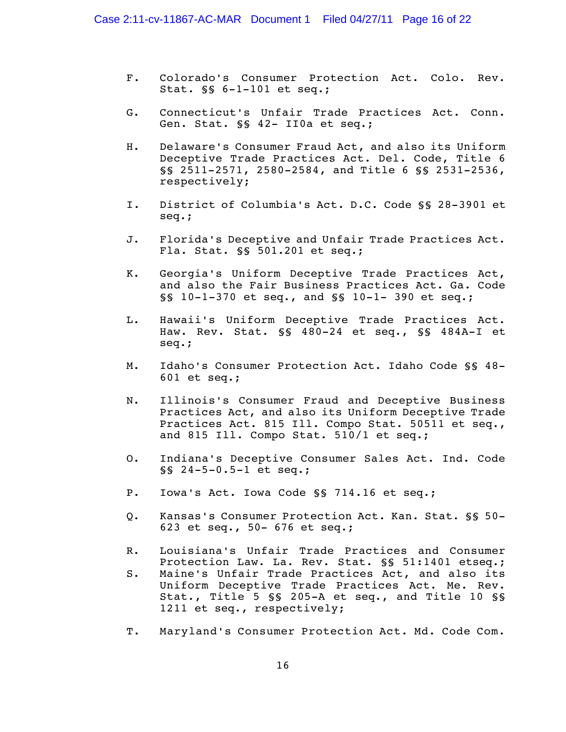- F. Colorado's Consumer Protection Act. Colo. Rev. Stat. §§ 6-1-101 et seq.;
- G. Connecticut's Unfair Trade Practices Act. Conn. Gen. Stat. §§ 42- II0a et seq.;
- H. Delaware's Consumer Fraud Act, and also its Uniform Deceptive Trade Practices Act. Del. Code, Title 6 §§ 2511-2571, 2580-2584, and Title 6 §§ 2531-2536, respectively;
- I. District of Columbia's Act. D.C. Code §§ 28-3901 et seq.;
- J. Florida's Deceptive and Unfair Trade Practices Act. Fla. Stat. §§ 501.201 et seq.;
- K. Georgia's Uniform Deceptive Trade Practices Act, and also the Fair Business Practices Act. Ga. Code §§ 10-1-370 et seq., and §§ 10-1- 390 et seq.;
- L. Hawaii's Uniform Deceptive Trade Practices Act. Haw. Rev. Stat. §§ 480-24 et seq., §§ 484A-I et seq.;
- M. Idaho's Consumer Protection Act. Idaho Code §§ 48- 601 et seq.;
- N. Illinois's Consumer Fraud and Deceptive Business Practices Act, and also its Uniform Deceptive Trade Practices Act. 815 Ill. Compo Stat. 50511 et seq., and 815 Ill. Compo Stat. 510/1 et seq.;
- O. Indiana's Deceptive Consumer Sales Act. Ind. Code §§ 24-5-0.5-1 et seq.;
- P. Iowa's Act. Iowa Code §§ 714.16 et seq.;
- Q. Kansas's Consumer Protection Act. Kan. Stat. §§ 50- 623 et seq., 50- 676 et seq.;
- R. Louisiana's Unfair Trade Practices and Consumer Protection Law. La. Rev. Stat. §§ 51:1401 etseq.; S. Maine's Unfair Trade Practices Act, and also its Uniform Deceptive Trade Practices Act. Me. Rev. Stat., Title 5 §§ 205-A et seq., and Title 10 §§ 1211 et seq., respectively;
- T. Maryland's Consumer Protection Act. Md. Code Com.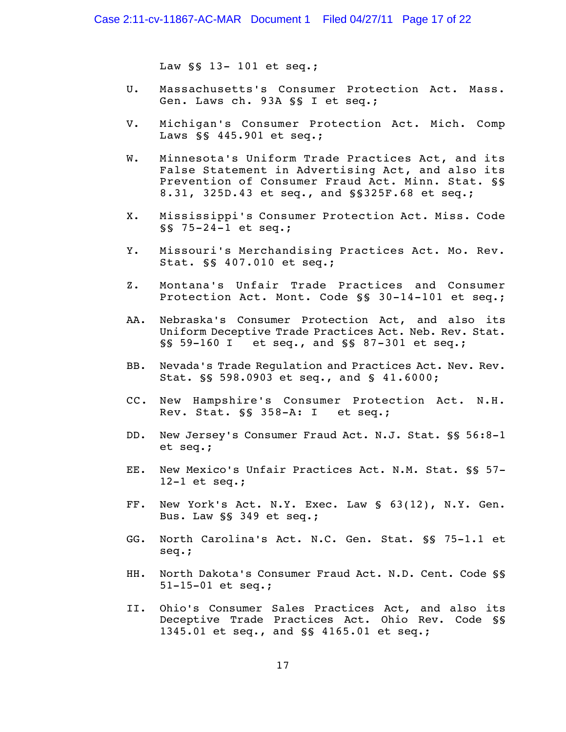Law §§ 13- 101 et seq.;

- U. Massachusetts's Consumer Protection Act. Mass. Gen. Laws ch. 93A §§ I et seq.;
- V. Michigan's Consumer Protection Act. Mich. Comp Laws §§ 445.901 et seq.;
- W. Minnesota's Uniform Trade Practices Act, and its False Statement in Advertising Act, and also its Prevention of Consumer Fraud Act. Minn. Stat. §§ 8.31, 325D.43 et seq., and §§325F.68 et seq.;
- X. Mississippi's Consumer Protection Act. Miss. Code §§ 75-24-1 et seq.;
- Y. Missouri's Merchandising Practices Act. Mo. Rev. Stat. §§ 407.010 et seq.;
- Z. Montana's Unfair Trade Practices and Consumer Protection Act. Mont. Code §§ 30-14-101 et seq.;
- AA. Nebraska's Consumer Protection Act, and also its Uniform Deceptive Trade Practices Act. Neb. Rev. Stat. §§ 59-160 I et seq., and §§ 87-301 et seq.;
- BB. Nevada's Trade Regulation and Practices Act. Nev. Rev. Stat. §§ 598.0903 et seq., and § 41.6000;
- CC. New Hampshire's Consumer Protection Act. N.H. Rev. Stat. §§ 358-A: I et seq.;
- DD. New Jersey's Consumer Fraud Act. N.J. Stat. §§ 56:8-1 et seq.;
- EE. New Mexico's Unfair Practices Act. N.M. Stat. §§ 57- 12-1 et seq.;
- FF. New York's Act. N.Y. Exec. Law § 63(12), N.Y. Gen. Bus. Law §§ 349 et seq.;
- GG. North Carolina's Act. N.C. Gen. Stat. §§ 75-1.1 et seq.;
- HH. North Dakota's Consumer Fraud Act. N.D. Cent. Code §§ 51-15-01 et seq.;
- II. Ohio's Consumer Sales Practices Act, and also its Deceptive Trade Practices Act. Ohio Rev. Code §§ 1345.01 et seq., and §§ 4165.01 et seq.;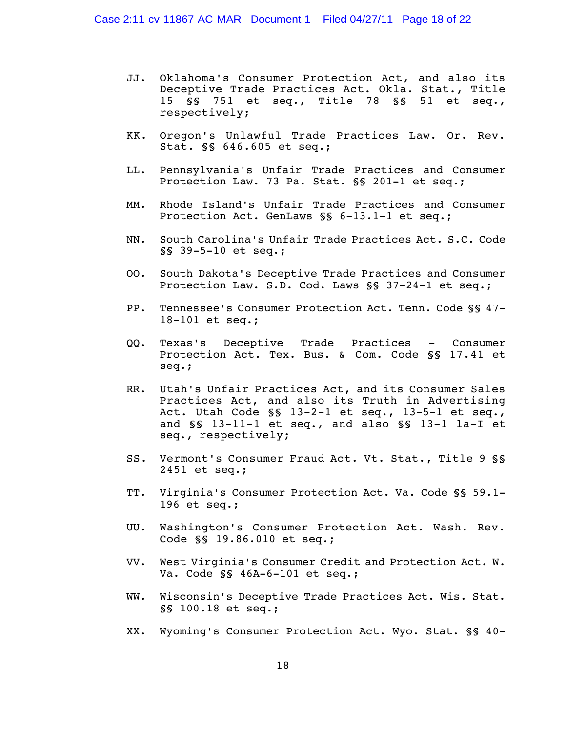- JJ. Oklahoma's Consumer Protection Act, and also its Deceptive Trade Practices Act. Okla. Stat., Title 15 §§ 751 et seq., Title 78 §§ 51 et seq., respectively;
- KK. Oregon's Unlawful Trade Practices Law. Or. Rev. Stat. §§ 646.605 et seq.;
- LL. Pennsylvania's Unfair Trade Practices and Consumer Protection Law. 73 Pa. Stat. §§ 201-1 et seq.;
- MM. Rhode Island's Unfair Trade Practices and Consumer Protection Act. GenLaws §§ 6-13.1-1 et seq.;
- NN. South Carolina's Unfair Trade Practices Act. S.C. Code §§ 39-5-10 et seq.;
- OO. South Dakota's Deceptive Trade Practices and Consumer Protection Law. S.D. Cod. Laws §§ 37-24-1 et seq.;
- PP. Tennessee's Consumer Protection Act. Tenn. Code §§ 47- 18-101 et seq.;
- QQ. Texas's Deceptive Trade Practices Consumer Protection Act. Tex. Bus. & Com. Code §§ 17.41 et seq.;
- RR. Utah's Unfair Practices Act, and its Consumer Sales Practices Act, and also its Truth in Advertising Act. Utah Code §§ 13-2-1 et seq., 13-5-1 et seq., and §§ 13-11-1 et seq., and also §§ 13-1 la-I et seq., respectively;
- SS. Vermont's Consumer Fraud Act. Vt. Stat., Title 9 §§ 2451 et seq.;
- TT. Virginia's Consumer Protection Act. Va. Code §§ 59.1- 196 et seq.;
- UU. Washington's Consumer Protection Act. Wash. Rev. Code §§ 19.86.010 et seq.;
- VV. West Virginia's Consumer Credit and Protection Act. W. Va. Code §§ 46A-6-101 et seq.;
- WW. Wisconsin's Deceptive Trade Practices Act. Wis. Stat. §§ 100.18 et seq.;
- XX. Wyoming's Consumer Protection Act. Wyo. Stat. §§ 40-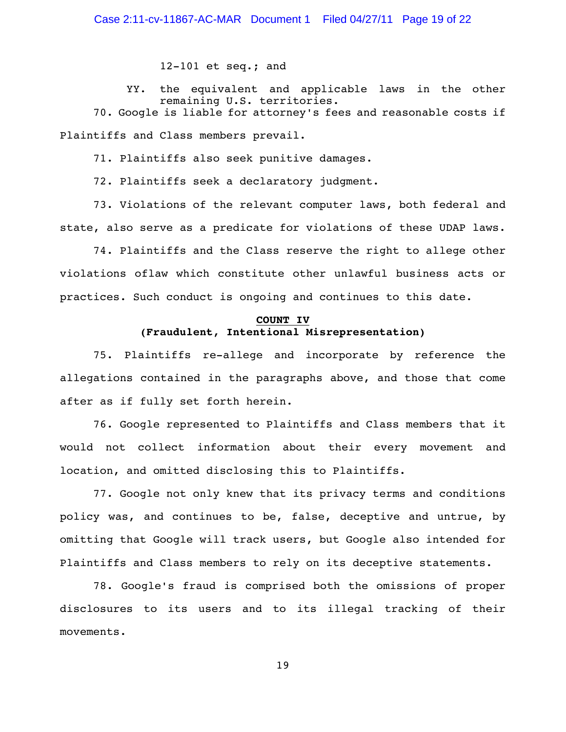## Case 2:11-cv-11867-AC-MAR Document 1 Filed 04/27/11 Page 19 of 22

12-101 et seq.; and

YY. the equivalent and applicable laws in the other remaining U.S. territories.

70. Google is liable for attorney's fees and reasonable costs if Plaintiffs and Class members prevail.

71. Plaintiffs also seek punitive damages.

72. Plaintiffs seek a declaratory judgment.

73. Violations of the relevant computer laws, both federal and state, also serve as a predicate for violations of these UDAP laws.

74. Plaintiffs and the Class reserve the right to allege other violations oflaw which constitute other unlawful business acts or practices. Such conduct is ongoing and continues to this date.

## **COUNT IV (Fraudulent, Intentional Misrepresentation)**

75. Plaintiffs re-allege and incorporate by reference the allegations contained in the paragraphs above, and those that come after as if fully set forth herein.

76. Google represented to Plaintiffs and Class members that it would not collect information about their every movement and location, and omitted disclosing this to Plaintiffs.

77. Google not only knew that its privacy terms and conditions policy was, and continues to be, false, deceptive and untrue, by omitting that Google will track users, but Google also intended for Plaintiffs and Class members to rely on its deceptive statements.

78. Google's fraud is comprised both the omissions of proper disclosures to its users and to its illegal tracking of their movements.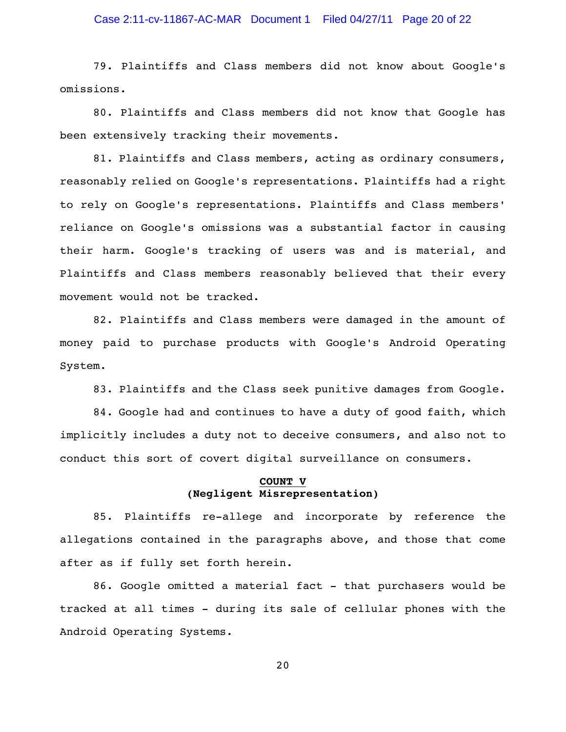## Case 2:11-cv-11867-AC-MAR Document 1 Filed 04/27/11 Page 20 of 22

79. Plaintiffs and Class members did not know about Google's omissions.

80. Plaintiffs and Class members did not know that Google has been extensively tracking their movements.

81. Plaintiffs and Class members, acting as ordinary consumers, reasonably relied on Google's representations. Plaintiffs had a right to rely on Google's representations. Plaintiffs and Class members' reliance on Google's omissions was a substantial factor in causing their harm. Google's tracking of users was and is material, and Plaintiffs and Class members reasonably believed that their every movement would not be tracked.

82. Plaintiffs and Class members were damaged in the amount of money paid to purchase products with Google's Android Operating System.

83. Plaintiffs and the Class seek punitive damages from Google.

84. Google had and continues to have a duty of good faith, which implicitly includes a duty not to deceive consumers, and also not to conduct this sort of covert digital surveillance on consumers.

### **COUNT V (Negligent Misrepresentation)**

85. Plaintiffs re-allege and incorporate by reference the allegations contained in the paragraphs above, and those that come after as if fully set forth herein.

86. Google omitted a material fact - that purchasers would be tracked at all times - during its sale of cellular phones with the Android Operating Systems.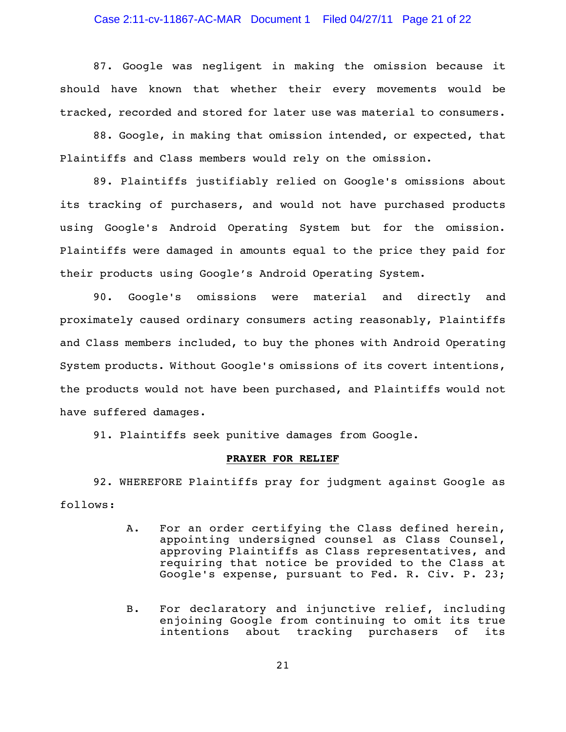## Case 2:11-cv-11867-AC-MAR Document 1 Filed 04/27/11 Page 21 of 22

87. Google was negligent in making the omission because it should have known that whether their every movements would be tracked, recorded and stored for later use was material to consumers.

88. Google, in making that omission intended, or expected, that Plaintiffs and Class members would rely on the omission.

89. Plaintiffs justifiably relied on Google's omissions about its tracking of purchasers, and would not have purchased products using Google's Android Operating System but for the omission. Plaintiffs were damaged in amounts equal to the price they paid for their products using Google's Android Operating System.

90. Google's omissions were material and directly and proximately caused ordinary consumers acting reasonably, Plaintiffs and Class members included, to buy the phones with Android Operating System products. Without Google's omissions of its covert intentions, the products would not have been purchased, and Plaintiffs would not have suffered damages.

91. Plaintiffs seek punitive damages from Google.

### **PRAYER FOR RELIEF**

92. WHEREFORE Plaintiffs pray for judgment against Google as follows:

- A. For an order certifying the Class defined herein, appointing undersigned counsel as Class Counsel, approving Plaintiffs as Class representatives, and requiring that notice be provided to the Class at Google's expense, pursuant to Fed. R. Civ. P. 23;
- B. For declaratory and injunctive relief, including enjoining Google from continuing to omit its true intentions about tracking purchasers of its